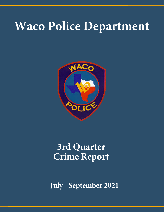# **Waco Police Department**



# **3rd Quarter Crime Report**

**July - September 2021**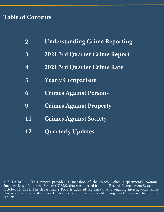# **Table of Contents**

| $\overline{2}$ | <b>Understanding Crime Reporting</b> |
|----------------|--------------------------------------|
| $\overline{3}$ | <b>2021 3rd Quarter Crime Report</b> |
| $\overline{4}$ | <b>2021 3rd Quarter Crime Rate</b>   |
| 5              | <b>Yearly Comparison</b>             |
| 6              | <b>Crimes Against Persons</b>        |
| 9              | <b>Crimes Against Property</b>       |
| 11             | <b>Crimes Against Society</b>        |
| 12             | <b>Quarterly Updates</b>             |

DISCLAIMER: This report provides a snapshot of the Waco Police Department's National Incident-Based Reporting System (NIBRS) that was queried from the Records Management System on October 15, 2021. The department's RMS is updated regularly due to ongoing investigations. Since this is a snapshot, data queried before or after this date could change and may vary from other reports.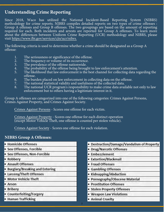### **Understanding Crime Reporting**

Since 2018, Waco has utilized the National Incident-Based Reporting System (NIBRS) methodology for crime reports. NIBRS compiles detailed reports on two types of crime offenses : Group A offenses and Group B offenses. The two groupings are based on the amount of reporting required for each. Both incidents and arrests are reported for Group A offenses. To learn more about the differences between Uniform Crime Reporting (UCR) methodology and NIBRS, please visit [https://www.fbi.gov/services/cjis/ucr/nibrs.](https://www.fbi.gov/services/cjis/ucr/nibrs)

The following criteria is used to determine whether a crime should be designated as a Group A offense:

- 1. The seriousness or significance of the offense.<br>2. The frequency or volume of its occurrence.
- The frequency or volume of its occurrence.
- 3. The prevalence of the offense nationwide.
- 4. The probability of the offense being brought to law enforcement's attention.<br>5. The likelihood that law enforcement is the best channel for collecting data re
- The likelihood that law enforcement is the best channel for collecting data regarding the offense.
- 6. The burden placed on law enforcement in collecting data on the offense.<br>7. The national statistical validity and usefulness of the collected data.
- The national statistical validity and usefulness of the collected data.
- 8. The national UCR program's responsibility to make crime data available not only to law enforcement but to others having a legitimate interest in it.

Group A offenses are categorized into one of the following categories: Crimes Against Persons, Crimes Against Property, and Crimes Against Society.

Crimes Against Persons - Scores one offense for each victim.

Crimes Against Property - Scores one offense for each distinct operation (except Motor Vehicle Theft, one offense is counted per stolen vehicle).

Crimes Against Society - Scores one offense for each violation.

#### **NIBRS Group A Offenses:**

- · Homicide Offenses
- · Sex Offenses, Forcible
- · Sex Offenses, Non-Forcible
- Robbery
- · Assault Offenses
- Burglary/Breaking and Entering
- Larceny/Theft Offenses
- . Motor Vehicle Theft
- · Arson
- Bribery
- Counterfeiting/Forgery
- Human Trafficking
- Destruction/Damage/Vandalism of Property
- Drug/Narcotic Offenses
- Embezzlement
- Extortion/Blackmail
- Fraud Offenses
- Gambling Offenses
- Kidnapping/Abduction
- Pornography/Obscene Material
- · Prostitution Offenses
- Stolen Property Offenses
- . Weapon Law Violations
- Animal Cruelty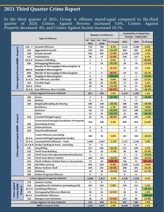## **2021 Third Quarter Crime Report**

In the third quarter of 2021, Group A offenses stayed equal compared to the third quarter of 2020. Crimes Against Persons increased 3.6%, Crimes Against Property decreased .4%, and Crimes Against Society increased 10.1%.

|                                                     |                                         | <b>Number of Offenses</b>                          |              |           | <b>Cumulative Comparison</b> |          |          |            |
|-----------------------------------------------------|-----------------------------------------|----------------------------------------------------|--------------|-----------|------------------------------|----------|----------|------------|
| <b>Type of Offense</b>                              |                                         |                                                    |              |           | <b>January - September</b>   |          |          |            |
|                                                     |                                         |                                                    | Jul - Sep    | Jul - Sep |                              |          |          |            |
|                                                     |                                         |                                                    | 2021<br>2020 | % Change  | 2021                         | 2020     | % Change |            |
|                                                     | $13A - C$                               | <b>Assault Offenses</b>                            | 734          | 704       | 4.3%                         | 2,112    | 2,100    | 0.6%       |
|                                                     | 13A                                     | <b>Aggravated Assault</b>                          | 143          | 191       | $-25.1%$                     | 464      | 495      | $-6.3%$    |
|                                                     | 13B                                     | <b>Simple Assault</b>                              | 542          | 476       | 13.9%                        | 1,510    | 1,478    | 2.2%       |
|                                                     | 13C                                     | <b>Intimidation</b>                                | 49           | 37        | 32.4%                        | 138      | 127      | 8.7%       |
|                                                     | 64 A-B                                  | <b>Human Trafficking</b>                           | 1            | 1         | 0.0%                         | 8        | 5        | 60.0%      |
|                                                     | 100                                     | Kidnapping/Abduction                               | 9            | 14        | $-35.7%$                     | 28       | 34       | $-17.6%$   |
| Crimes Against Persons (NIBRS - Group A)            |                                         | Murder & Nonnegligent Manslaughter &               | 7            | 6         | 16.7%                        | 15       | 14       | 7.1%       |
|                                                     | 09A-B                                   | <b>Negligent Manslaughter</b>                      |              |           |                              |          |          |            |
|                                                     | 09A                                     | Murder & Nonnegligent Manslaughter                 | 7            | 5         | 40.0%                        | 14       | 12       | 16.7%      |
|                                                     | 09B                                     | <b>Negligent Manslaughter</b>                      | $\bf{0}$     | 1         | $-100.0\%$                   | 1        | 2        | $-50.0%$   |
|                                                     | 11 A-D                                  | <b>Sex Offenses, Forcible</b>                      | 56           | 56        | 0.0%                         | 151      | 133      | 13.5%      |
|                                                     | <b>11A</b>                              | <b>Forcible Rape</b>                               | 30           | 26        | 15.4%                        | 77       | 76       | 1.3%       |
|                                                     | $11B-D$                                 | Other                                              | 26           | 30        | $-13.3%$                     | 74       | 57       | 29.8%      |
|                                                     | 36 A-B                                  | <b>Sex Offenses, Non-Forcible</b>                  | 5            | з         | 66.7%                        | 9        | 11       | $-18.2%$   |
|                                                     |                                         | <b>Crimes Against Persons Subtotal</b>             | 812          | 784       | 3.6%                         | 2,323    | 2,297    | 1.1%       |
|                                                     | 200                                     | <b>Arson</b>                                       | 1            | 8         | $-87.5%$                     | 7        | 17       | $-58.8%$   |
|                                                     | 510                                     | <b>Bribery</b>                                     | 0            | 0         |                              | 0        | 0        |            |
|                                                     | 220                                     | <b>Burglary/Breaking &amp; Entering</b>            | 184          | 238       | $-29.3%$                     | 508      | 630      | $-19.4%$   |
|                                                     |                                         | <b>Residence</b>                                   | 132          | 129       | 2.3%                         | 360      | 393      | -8.4%      |
|                                                     |                                         | <b>Business</b>                                    | 40           | 74        | $-45.9%$                     | 113      | 149      | $-24.2%$   |
|                                                     |                                         | Other                                              | 12           | 35        | $-65.7%$                     | 35       | 88       | $-60.2%$   |
|                                                     | 250                                     | <b>Counterfeiting/Forgery</b>                      | 56           | 43        | 30.2%                        | 134      | 145      | $-7.6%$    |
| s Against Property (NIBRS - Group A)                |                                         | <b>Destruction/Damage/Vandalism of Property</b>    |              |           |                              |          |          |            |
|                                                     | 290                                     | (excluding Arson)                                  | 318          | 308       | 3.2%                         | 948      | 854      | 11.0%      |
|                                                     | 270                                     | <b>Embezzlement</b>                                | 0            | 0         |                              | 0        | 0        |            |
|                                                     | 210                                     | <b>Extortion/Blackmail</b>                         | 0            | 0         |                              | 0        | 0        |            |
|                                                     |                                         | <b>Fraud Offenses (excluding</b>                   |              |           |                              |          |          |            |
|                                                     | 26 A-E                                  | counterfeiting/forgery/bad checks)                 | 100          | 99        | 1.0%                         | 265      | 310      | $-14.5%$   |
|                                                     | 23 A-H                                  | Larceny/Theft Offenses - Total                     | 1,002        | 1,017     | $-1.5%$                      | 2,771    | 2,743    | 1.0%       |
|                                                     | 23 A & B                                | Pocket-picking & Purse -snatching                  | 0            | 0         |                              | 3        | 0        |            |
|                                                     | 23C                                     | <b>Shoplifting</b>                                 | 172          | 205       | $-16.1%$                     | 527      | 509      | 3.5%       |
|                                                     | 23D                                     | <b>Theft from Building</b>                         | 18           | 19        | $-5.3%$                      | 49       | 40       | 22.5%      |
| Crime                                               | 23E                                     | <b>Theft from Coin Operated Machine/Device</b>     | $\mathbf{1}$ | 0         |                              | 3        | 4        | $-25.0%$   |
|                                                     | 23F                                     | <b>Theft from Motor Vehicle</b>                    | 284          | 340       | $-16.5%$                     | 791      | 921      | $-14.1%$   |
|                                                     | 23G                                     | <b>Theft of Motor Vehicle Parts or Accessories</b> | 73           | 34        | 114.7%                       | 196      | 57       | 243.9%     |
|                                                     | 23H                                     | <b>All Other Larceny</b>                           | 454          | 419       | 8.4%                         | 1,202    | 1,212    | $-0.8\%$   |
|                                                     | 240                                     | <b>Motor Vehicle Theft</b>                         | 149          | 101       | 47.5%                        | 380      | 301      | 26.2%      |
|                                                     | 120                                     | <b>Robbery</b>                                     | 34           | 38        | $-10.5%$                     | 115      | 103      | 11.7%      |
|                                                     | 280                                     | <b>Stolen Property Offenses</b>                    | 0            | 0         | ۰                            | 0        | 0        | ۰          |
|                                                     | <b>Crimes Against Property Subtotal</b> |                                                    | 1,844        | 1,852     | $-0.4%$                      | 5,128    | 5,103    | 0.5%       |
|                                                     | 720                                     | <b>Animal Cruelty</b>                              |              | 0         |                              |          |          |            |
|                                                     | 35A                                     | <b>Drug/Narcotic Violations (excluding DUI)</b>    | 1<br>163     | 154       | 5.8%                         | 1<br>539 | 0<br>513 | 5.1%       |
| <b>Crimes Against</b><br>Society (NIBRS<br>Group A) | 39 A-D                                  | <b>Gambling Offenses</b>                           | 1            | 0         |                              | 1        | 3        | -66.7%     |
|                                                     | 370                                     | Pornography/Obscene Material                       | 18           | 16        | 12.5%                        | 43       | 42       | 2.4%       |
|                                                     | 40 A-C                                  | <b>Prostitution Offenses</b>                       | 0            | 2         |                              | 0        | 2        | $-100.0\%$ |
|                                                     | 520                                     | <b>Weapon Law Violations</b>                       | 36           | 27        | 33.3%                        | 113      | 86       | 31.4%      |
|                                                     |                                         | <b>Crimes Against Society Subtotal</b>             | 219          | 199       | 10.1%                        | 697      | 646      | 7.9%       |
|                                                     |                                         | <b>NIBRS Group A Total</b>                         |              |           | 1.4%                         |          |          | 1.3%       |
|                                                     |                                         |                                                    | 2,875        | 2,835     |                              | 8,148    | 8,046    |            |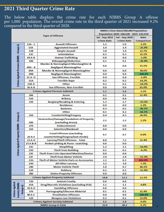## **2021 Third Quarter Crime Rate**

The below table displays the crime rate for each NIBRS Group A offense per 1,000 population. The overall crime rate in the third quarter of 2021 increased 9.2% compared to the third quarter of 2020.

|                                              |            |                                                                                   | NIBRS Crime Rate/100,000 Population      |                       |                          |  |  |  |
|----------------------------------------------|------------|-----------------------------------------------------------------------------------|------------------------------------------|-----------------------|--------------------------|--|--|--|
|                                              |            |                                                                                   | Population 2020: 140,628 - 2021: 142,034 |                       |                          |  |  |  |
|                                              |            | <b>Type of Offense</b>                                                            | <b>Jul - Sep 2021</b>                    | <b>Jul - Sep 2020</b> | Rate                     |  |  |  |
|                                              |            |                                                                                   | <b>Crime Rate</b>                        | <b>Crime Rate</b>     | <b>Comparison</b>        |  |  |  |
|                                              | $13A - C$  | <b>Assault Offenses</b>                                                           | 5.2                                      | 5.0                   | 3.2%                     |  |  |  |
|                                              | 13A        | <b>Aggravated Assault</b>                                                         | 1.0                                      | 1.4                   | $-25.9%$                 |  |  |  |
|                                              | 13B        | <b>Simple Assault</b>                                                             | 3.8                                      | 3.4                   | 12.7%                    |  |  |  |
|                                              | 13C        | <b>Intimidation</b>                                                               | 0.3                                      | 0.3                   | 31.1%                    |  |  |  |
|                                              | 64 A-B     | <b>Human Trafficking</b>                                                          | 0.0                                      | 0.0                   | $-1.0%$                  |  |  |  |
|                                              | 100        | Kidnapping/Abduction                                                              | 0.1                                      | 0.1                   | $-36.4%$                 |  |  |  |
| Crimes Against Persons (NIBRS - Group A)     |            | Murder & Nonnegligent Manslaughter &                                              | 0.0                                      | 0.0                   | 15.5%                    |  |  |  |
|                                              | 09A - B    | <b>Negligent Manslaughter</b>                                                     |                                          |                       |                          |  |  |  |
|                                              | 09A        | <b>Murder &amp; Nonnegligent Manslaughter</b>                                     | 0.0                                      | 0.0                   | 38.6%                    |  |  |  |
|                                              | 09B        | <b>Negligent Manslaughter</b>                                                     | 0.0                                      | 0.0                   | $-100.0\%$               |  |  |  |
|                                              | 11 A-D     | <b>Sex Offenses, Forcible</b>                                                     | 0.4                                      | 0.4                   | $-1.0%$                  |  |  |  |
|                                              | <b>11A</b> | <b>Forcible Rape</b>                                                              | 0.2                                      | 0.2                   | 14.2%                    |  |  |  |
|                                              | $11B-D$    | Other                                                                             | 0.2                                      | 0.2                   | $-14.2%$                 |  |  |  |
|                                              | 36 A-B     | <b>Sex Offenses, Non-Forcible</b>                                                 | 0.0                                      | 0.0                   | 65.0%                    |  |  |  |
|                                              |            | <b>Crimes Against Persons Subtotal</b>                                            | 5.7                                      | 5.6                   | 2.5%                     |  |  |  |
|                                              | 200        | Arson                                                                             | 0.1                                      | 0.1                   | 11.4%                    |  |  |  |
|                                              | 510        | <b>Bribery</b>                                                                    | 0.0                                      | 0.0                   |                          |  |  |  |
|                                              | 220        | <b>Burglary/Breaking &amp; Entering</b>                                           | 1.3                                      | 1.7                   | $-23.5%$                 |  |  |  |
|                                              |            | <b>Residence</b>                                                                  | 0.9                                      | 0.9                   | 1.3%                     |  |  |  |
|                                              |            | <b>Business</b>                                                                   | 0.3                                      | 0.5                   | $-46.5%$                 |  |  |  |
|                                              |            | Other                                                                             | 0.1                                      | 0.2                   | $-66.1%$                 |  |  |  |
|                                              | 250        | <b>Counterfeiting/Forgery</b>                                                     | 0.4                                      | 0.3                   | 28.9%                    |  |  |  |
| Against Property (NIBRS - Group A)           |            | <b>Destruction/Damage/Vandalism of Property</b>                                   | 2.2                                      | 2.2                   | 2.2%                     |  |  |  |
|                                              | 290        | (excluding Arson)<br><b>Embezzlement</b>                                          |                                          |                       |                          |  |  |  |
|                                              | 270        | <b>Extortion/Blackmail</b>                                                        | 0.0                                      | 0.0                   |                          |  |  |  |
|                                              | 210        |                                                                                   | 0.0                                      | 0.0                   |                          |  |  |  |
|                                              |            | <b>Fraud Offenses (excluding</b>                                                  | 0.7                                      | 0.7                   | 0.0%                     |  |  |  |
|                                              | 26 A-E     | counterfeiting/forgery/bad checks)                                                |                                          |                       |                          |  |  |  |
|                                              | 23 A-H     | Larceny/Theft Offenses - Total                                                    | 8.8                                      | 7.2                   | 21.4%                    |  |  |  |
|                                              | 23 A & B   | <b>Pocket-picking &amp; Purse -snatching</b>                                      | 0.0                                      | 0.0                   |                          |  |  |  |
|                                              | 23C        | <b>Shoplifting</b>                                                                | 1.2                                      | 1.5                   | $-16.9%$                 |  |  |  |
| Crimes                                       | 23D        | <b>Theft from Building</b>                                                        | 0.1                                      | 0.1                   | $-6.2%$                  |  |  |  |
|                                              | 23E<br>23F | <b>Theft from Coin Operated Machine/Device</b><br><b>Theft from Motor Vehicle</b> | 0.0                                      | 0.0                   |                          |  |  |  |
|                                              | 23G        | Theft of Motor Vehicle Parts or Accessories                                       | 2.0<br>2.2                               | 2.4<br>0.2            | $-17.3%$                 |  |  |  |
|                                              | 23H        | <b>All Other Larceny</b>                                                          | 3.2                                      | 3.0                   | 826.0%<br>7.3%           |  |  |  |
|                                              | 240        | <b>Motor Vehicle Theft</b>                                                        | 1.0                                      | 0.7                   | 46.1%                    |  |  |  |
|                                              | 120        | Robbery                                                                           | 0.2                                      | 0.3                   | $-11.4%$                 |  |  |  |
|                                              | 280        | <b>Stolen Property Offenses</b>                                                   | 0.0                                      | 0.0                   | $\overline{\phantom{a}}$ |  |  |  |
|                                              |            | <b>Crimes Against Property Subtotal</b>                                           | 14.8                                     | 13.2                  | 12.1%                    |  |  |  |
|                                              | 720        | <b>Animal Cruelty</b>                                                             | 0.0                                      | 0.0                   |                          |  |  |  |
|                                              | 35A        | <b>Drug/Narcotic Violations (excluding DUI)</b>                                   | 1.1                                      | 1.1                   | 4.8%                     |  |  |  |
|                                              | 39 A-D     | <b>Gambling Offenses</b>                                                          | 0.0                                      | 0.0                   | ۰                        |  |  |  |
| Crimes Against<br>Society (NIBRS<br>Group A) | 370        | Pornography/Obscene Material                                                      | 0.1                                      | 0.1                   | 11.4%                    |  |  |  |
|                                              | 40 A-C     | <b>Prostitution Offenses</b>                                                      | 0.0                                      | 0.0                   | $-100.0\%$               |  |  |  |
|                                              | 520        | <b>Weapon Law Violations</b>                                                      | 0.3                                      | 0.2                   | 32.0%                    |  |  |  |
|                                              |            | <b>Crimes Against Society Subtotal</b>                                            | 1.5                                      | 1.4                   | 9.0%                     |  |  |  |
|                                              |            | <b>NIBRS Group A Total</b>                                                        | 22.0                                     | 20.2                  | 9.2%                     |  |  |  |

4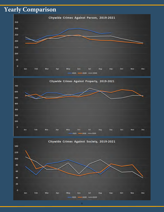# **Yearly Comparison**





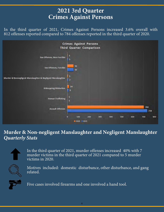# **2021 3rd Quarter Crimes Against Persons**

In the third quarter of 2021, Crimes Against Persons increased 3.6% overall with 812 offenses reported compared to 784 offenses reported in the third quarter of 2020.



## **Murder & Non-negligent Manslaughter and Negligent Manslaughter** *Quarterly Stats*

In the third quarter of 2021, murder offenses increased 40% with 7 murder victims in the third quarter of 2021 compared to 5 murder victims in 2020.

Motives included: domestic disturbance, other disturbance, and gang related.

Five cases involved firearms and one involved a hand tool.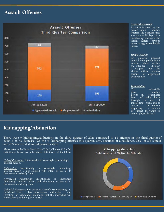## **Assault Offenses**



#### *Aggravated Assault*

An unlawful attack by one<br>person upon another person upon wherein the offender uses a weapon or displays it in a threatening manner, or the victim suffers obvious severe or aggravated bodily injury.

#### *Simple Assault*

An unlawful physical attack by one person upon another where neither<br>the offender displays the offender displays<br>a weapon, nor the a weapon, victim suffers obvious<br>serious or aggravated serious or bodily injury.

#### *Intimidation*

To unlawfully<br>place another another<br>reasonable person in fear of bodily harm through the use of threatening word and/or<br>conduct, but without conduct, but without<br>displaying a weapon a weapon or subject the victim to actual physical attack.

## **Kidnapping/Abduction**

There were 9 kidnapping/abductions in the third quarter of 2021 compared to 14 offenses in the third quarter of 2020, a 35.7% decrease. Of the 9 kidnapping offenses this quarter, 55% occurred at a residence, 22% at a business, and 22% occurred at an unknown location.

Please refer to the Texas Penal Code Title 5, Chapter 20 for full definitions, below are abbreviated definitions of the follow:

*Unlawful restraint:* Intentionally or knowingly [restraining] another person.

*Kidnapping:* Intentionally or knowingly [abducting] another person ... not coupled with intent or use or to threaten to use deadly force.

*Aggravated Kidnapping:* Intentionally or knowingly [abducting] another person with the intent to use or to threaten to use deadly force.

*Unlawful Transport:* For pecuniary benefit (transporting) an individual from ... law enforcement authorities ... and (creating) an substantial likelihood that the individual will suffer serious bodily injury or death.

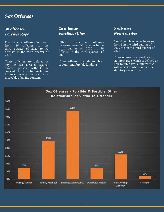### **Sex Offenses**

#### **30 offenses** *Forcible Rape*

Forcible rape offenses increased<br>from 26 offenses in the offenses in the third quarter of 2020 to 30 offenses in the third quarter of 2021.

These offenses are defined as any sex act directed against another person, without the consent of the victim including instances where the victim is incapable of giving consent.

#### **26 offenses** *Forcible, Other*

Other forcible sex offenses decreased from 30 offenses in the third quarter of 2020 to 26 offenses in the third quarter of 2021.

These offenses include forcible sodomy and forcible fondling.

#### **5 offenses** *Non-Forcible*

Non-Forcible offenses increased from 3 in the third quarter of 2020 to 5 in the third quarter of 2021.

These offenses are considered statutory rape, which is defined as non-forcible sexual intercourse with a person who is under the statutory age of consent.

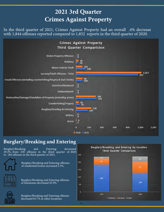# **2021 3rd Quarter Crimes Against Property**

In the third quarter of 2021, Crimes Against Property had an overall .4% decrease with 1,844 offenses reported compared to 1,852 reports in the third quarter of 2020.



## **Burglary/Breaking and Entering**

Burglary/Breaking and Entering decreased 29.3%, from 238 offenses in the third quarter of 2020 to 184 offenses in the third quarter of 2021.



Burglary/Breaking and Entering offenses of residential homes increased 2.3%.



Burglary/Breaking and Entering offenses of businesses decreased 45.9%.



Burglary/Breaking and Entering offenses decreased 65.7% at other locations.

**Burglary/Breaking and Entering by Location Third Quarter Comparison** 

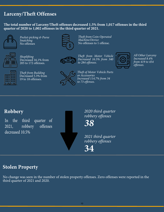## **Larceny/Theft Offenses**

**The total number of Larceny/Theft offenses decreased 1.5% from 1,017 offenses in the third quarter of 2020 to 1,002 offenses in the third quarter of 2021.**



*Pocket-picking & Purse Snatching*  No offenses



*Shoplifting*  Decreased 16.1% from 205 to 172 offenses.



*Theft from Building*  Decreased 5.3% from 19 to 18 offenses.



*Theft from Coin-Operated Machine/Device*  No offenses to 1 offense.



*Theft from Motor Vehicle Decreased 16.5% from 340 to 284 offenses.*



*All Other Larceny Increased 8.4% from 419 to 454 offenses.*



*Theft of Motor Vehicle Parts or Accessories Increased 114.7% from 34 to 73 offenses.*

## **Robbery**

In the third quarter of 2021, robbery offenses decreased 10.5%

*2020 third quarter robbery offenses*

*38*

*2021 third quarter robbery offenses*

**34**

## **Stolen Property**

No change was seen in the number of stolen property offenses. Zero offenses were reported in the third quarter of 2021 and 2020.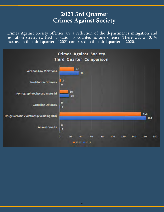## **2021 3rd Quarter Crimes Against Society**

Crimes Against Society offenses are a reflection of the department's mitigation and resolution strategies. Each violation is counted as one offense. There was a 10.1% increase in the third quarter of 2021 compared to the third quarter of 2020.

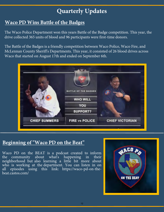# **Quarterly Updates**

## **Waco PD Wins Battle of the Badges**

The Waco Police Department won this years Battle of the Badge competition. This year, the drive collected 365 units of blood and 96 participants were first-time donors.

The Battle of the Badges is a friendly competition between Waco Police, Waco Fire, and McLennan County Sheriff's Departments. This year, it consisted of 26 blood drives across Waco that started on August 17th and ended on September 6th.



## **Beginning of "Waco PD on the Beat"**

Waco PD on the BEAT is a podcast created to inform<br>the community about what's happening in their about what's happening in their neighborhood but also learning a little bit more about who is working at the department. You can listen in on all episodes using this link: [https://waco-pd-on-the](https://waco-pd-on-the-beat.castos.com/)[beat.castos.com/](https://waco-pd-on-the-beat.castos.com/)

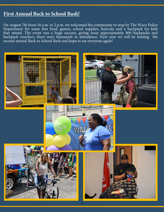## **First Annual Back to School Bash!**

On August 7th from 10 a.m. to 2 p.m. we welcomed the community to stop by The Waco Police Department for some free food, games, school supplies, haircuts and a backpack for kids that attend. The event was a huge success, giving away approximately 800 backpacks and backpack vouchers, there were thousands in attendance. Next year we will be hosting the second annual Back to School Bash and hope to see everyone again!

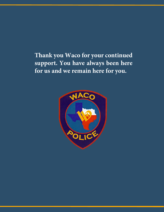**Thank you Waco for your continued support. You have always been here for us and we remain here for you.**